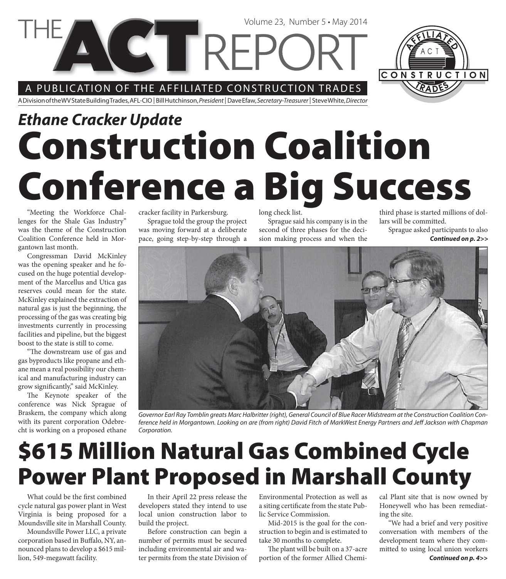A PUBLICATION OF THE AFFILIATED CONSTRUCTION TRADES

**VETTREPC** 

A Division of the WV State Building Trades, AFL-CIO | Bill Hutchinson, President | Dave Efaw, Secretary-Treasurer | Steve White, Director

# **Construction Coalition Conference a Big Success** *Ethane Cracker Update*

"Meeting the Workforce Challenges for the Shale Gas Industry" was the theme of the Construction Coalition Conference held in Morgantown last month.

Congressman David McKinley was the opening speaker and he focused on the huge potential development of the Marcellus and Utica gas reserves could mean for the state. McKinley explained the extraction of natural gas is just the beginning, the processing of the gas was creating big investments currently in processing facilities and pipeline, but the biggest boost to the state is still to come.

"The downstream use of gas and gas byproducts like propane and ethane mean a real possibility our chemical and manufacturing industry can grow significantly," said McKinley.

The Keynote speaker of the conference was Nick Sprague of Braskem, the company which along with its parent corporation Odebrecht is working on a proposed ethane cracker facility in Parkersburg.

Sprague told the group the project was moving forward at a deliberate pace, going step-by-step through a

long check list.

Sprague said his company is in the second of three phases for the decision making process and when the

Volume 23, Number 5 • May 2014

third phase is started millions of dollars will be committed.

CONSTRUCTION

Sprague asked participants to also *Continued on p. 2>>*



Governor Earl Ray Tomblin greats Marc Halbritter (right), General Council of Blue Racer Midstream at the Construction Coalition Conference held in Morgantown. Looking on are (from right) David Fitch of MarkWest Energy Partners and Jeff Jackson with Chapman Corporation.

# **\$615 Million Natural Gas Combined Cycle Power Plant Proposed in Marshall County**

What could be the first combined cycle natural gas power plant in West Virginia is being proposed for a Moundsville site in Marshall County.

Moundsville Power LLC, a private corporation based in Buffalo, NY, announced plans to develop a \$615 million, 549-megawatt facility.

In their April 22 press release the developers stated they intend to use local union construction labor to build the project.

Before construction can begin a number of permits must be secured including environmental air and water permits from the state Division of

Environmental Protection as well as a siting certificate from the state Public Service Commission.

Mid-2015 is the goal for the construction to begin and is estimated to take 30 months to complete.

The plant will be built on a 37-acre portion of the former Allied Chemi-

cal Plant site that is now owned by Honeywell who has been remediating the site.

"We had a brief and very positive conversation with members of the development team where they committed to using local union workers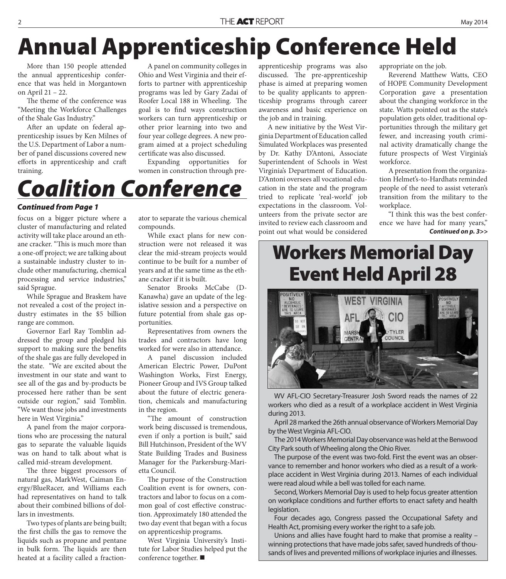# **Annual Apprenticeship Conference Held**

More than 150 people attended the annual apprenticeship conference that was held in Morgantown on April 21 – 22.

The theme of the conference was "Meeting the Workforce Challenges of the Shale Gas Industry."

After an update on federal apprenticeship issues by Ken Milnes of the U.S. Department of Labor a number of panel discussions covered new efforts in apprenticeship and craft training.

A panel on community colleges in Ohio and West Virginia and their efforts to partner with apprenticeship programs was led by Gary Zadai of Roofer Local 188 in Wheeling. The goal is to find ways construction workers can turn apprenticeship or other prior learning into two and four year college degrees. A new program aimed at a project scheduling certificate was also discussed.

Expanding opportunities for women in construction through pre-

### *Coalition Conference*

#### *Continued from Page 1*

focus on a bigger picture where a cluster of manufacturing and related activity will take place around an ethane cracker. "This is much more than a one-off project; we are talking about a sustainable industry cluster to include other manufacturing, chemical processing and service industries," said Sprague.

While Sprague and Braskem have not revealed a cost of the project industry estimates in the \$5 billion range are common.

Governor Earl Ray Tomblin addressed the group and pledged his support to making sure the benefits of the shale gas are fully developed in the state. "We are excited about the investment in our state and want to see all of the gas and by-products be processed here rather than be sent outside our region," said Tomblin. "We want those jobs and investments here in West Virginia."

A panel from the major corporations who are processing the natural gas to separate the valuable liquids was on hand to talk about what is called mid-stream development.

The three biggest processors of natural gas, MarkWest, Caiman Energy/BlueRacer, and Williams each had representatives on hand to talk about their combined billions of dollars in investments.

Two types of plants are being built; the first chills the gas to remove the liquids such as propane and pentane in bulk form. The liquids are then heated at a facility called a fractionator to separate the various chemical compounds.

While exact plans for new construction were not released it was clear the mid-stream projects would continue to be built for a number of years and at the same time as the ethane cracker if it is built.

Senator Brooks McCabe (D-Kanawha) gave an update of the legislative session and a perspective on future potential from shale gas opportunities.

Representatives from owners the trades and contractors have long worked for were also in attendance.

A panel discussion included American Electric Power, DuPont Washington Works, First Energy, Pioneer Group and IVS Group talked about the future of electric generation, chemicals and manufacturing in the region.

"The amount of construction work being discussed is tremendous, even if only a portion is built," said Bill Hutchinson, President of the WV State Building Trades and Business Manager for the Parkersburg-Marietta Council.

The purpose of the Construction Coalition event is for owners, contractors and labor to focus on a common goal of cost effective construction. Approximately 180 attended the two day event that began with a focus on apprenticeship programs.

West Virginia University's Institute for Labor Studies helped put the conference together. ■

apprenticeship programs was also discussed. The pre-apprenticeship phase is aimed at preparing women to be quality applicants to apprenticeship programs through career awareness and basic experience on the job and in training.

A new initiative by the West Virginia Department of Education called Simulated Workplaces was presented by Dr. Kathy D'Antoni, Associate Superintendent of Schools in West Virginia's Department of Education. D'Antoni oversees all vocational education in the state and the program tried to replicate 'real-world' job expectations in the classroom. Volunteers from the private sector are invited to review each classroom and point out what would be considered

appropriate on the job.

Reverend Matthew Watts, CEO of HOPE Community Development Corporation gave a presentation about the changing workforce in the state. Watts pointed out as the state's population gets older, traditional opportunities through the military get fewer, and increasing youth criminal activity dramatically change the future prospects of West Virginia's workforce.

A presentation from the organization Helmet's-to-Hardhats reminded people of the need to assist veteran's transition from the military to the workplace.

"I think this was the best conference we have had for many years," *Continued on p. 3>>*

#### **Workers Memorial Day Event Held April 28**



WV AFL-CIO Secretary-Treasurer Josh Sword reads the names of 22 workers who died as a result of a workplace accident in West Virginia during 2013.

April 28 marked the 26th annual observance of Workers Memorial Day by the West Virginia AFL-CIO.

The 2014 Workers Memorial Day observance was held at the Benwood City Park south of Wheeling along the Ohio River.

The purpose of the event was two-fold. First the event was an observance to remember and honor workers who died as a result of a workplace accident in West Virginia during 2013. Names of each individual were read aloud while a bell was tolled for each name.

Second, Workers Memorial Day is used to help focus greater attention on workplace conditions and further efforts to enact safety and health legislation.

Four decades ago, Congress passed the Occupational Safety and Health Act, promising every worker the right to a safe job.

Unions and allies have fought hard to make that promise a reality – winning protections that have made jobs safer, saved hundreds of thousands of lives and prevented millions of workplace injuries and illnesses.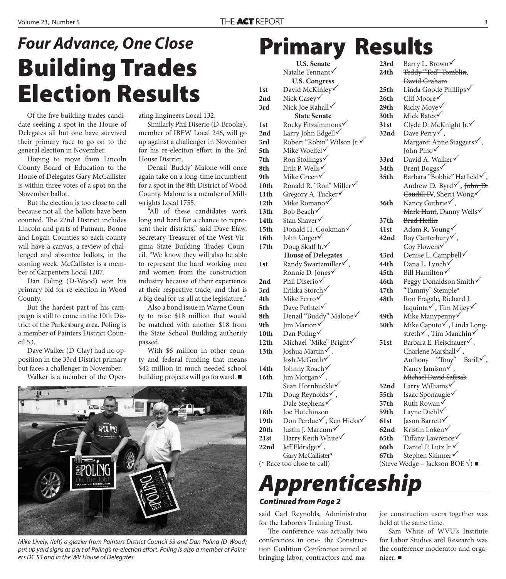## **Building Trades Election Results** *Four Advance, One Close*

Of the five building trades candidate seeking a spot in the House of Delegates all but one have survived their primary race to go on to the general election in November.

Hoping to move from Lincoln County Board of Education to the House of Delegates Gary McCallister is within three votes of a spot on the November ballot.

But the election is too close to call because not all the ballots have been counted. The 22nd District includes Lincoln and parts of Putnam, Boone and Logan Counties so each county will have a canvas, a review of challenged and absentee ballots, in the coming week. McCallister is a member of Carpenters Local 1207.

Dan Poling (D-Wood) won his primary bid for re-election in Wood County.

But the hardest part of his campaign is still to come in the 10th District of the Parkesburg area. Poling is a member of Painters District Council 53.

Dave Walker (D-Clay) had no opposition in the 33rd District primary but faces a challenger in November.

Walker is a member of the Oper-

ating Engineers Local 132.

Similarly Phil Diserio (D-Brooke), member of IBEW Local 246, will go up against a challenger in November for his re-election effort in the 3rd House District.

Denzil 'Buddy' Malone will once again take on a long-time incumbent for a spot in the 8th District of Wood County. Malone is a member of Millwrights Local 1755.

"All of these candidates work long and hard for a chance to represent their districts," said Dave Efaw, Secretary-Treasurer of the West Virginia State Building Trades Council. "We know they will also be able to represent the hard working men and women from the construction industry because of their experience at their respective trade, and that is a big deal for us all at the legislature."

Also a bond issue in Wayne County to raise \$18 million that would be matched with another \$18 from the State School Building authority passed.

With \$6 million in other county and federal funding that means \$42 million in much needed school building projects will go forward.



Mike Lively, (left) a glazier from Painters District Council 53 and Dan Poling (D-Wood) put up yard signs as part of Poling's re-election effort. Poling is also a member of Painters DC 53 and in the WV House of Delegates.

### **Primary Results**

**U.S. Senate**  Natalie Tennant **U.S. Congress 1st** David McKinley **2nd** Nick Casey **3rd** Nick Joe Rahall **State Senate 1st** Rocky Fitzsimmons <del>V</del> **2nd** Larry John Edgell√ **3rd** Robert "Robin" Wilson Jr. **5th** Mike Woelfel√ 7th Ron Stollings**√ 8th** Erik P. Wells√ **9th** Mike Green 10th Ronald R. "Ron" Miller√ **11th** Gregory A. Tucker <del>✓</del> **12th** Mike Romano **13th** Bob Beach **14th** Stan Shaver√ 15th Donald H. Cookman <del>V</del> **16th** John Unger 17th Doug Skaff Jr. **House of Delegates**  1st Randy Swartzmiller  $\checkmark$ , Ronnie D. Jones 2nd Phil Diserio $\sqrt{}$ **3rd** Erikka Storch√ **4th** Mike Ferro **5th** Dave Pethtel√ 8th Denzil "Buddy" Malone√ 9th Iim Marion **10th** Dan Poling 12th Michael "Mike" Bright 13th Joshua Martin $\sqrt{}$ , Josh McGrath **14th** Johnny Roach 16th Jim Morgan $\checkmark$ , Sean Hornbuckle√ 17th Doug Reynolds $\checkmark$ , Dale Stephens√ 18th <del>Joe Hutchinson</del> **19th** Don Perdue√, Ken Hicks√ **20th** Justin J. Marcum <del>✓</del> **21st** Harry Keith White

**22nd** Jeff Eldridge $\checkmark$ ,

Gary McCallister\*<br>(\* Race too close to call)



said Carl Reynolds, Administrator for the Laborers Training Trust.

The conference was actually two conferences in one- the Construction Coalition Conference aimed at bringing labor, contractors and ma-

23rd Barry L. Brown√ 24th Teddy "Ted" Tomblin, David Graham 25th Linda Goode Phillips√ **26th** Clif Moore **29th** Ricky Moye√ **30th** Mick Bates **31st** Clyde D. McKnight Jr. **32nd** Dave Perry√, Margaret Anne Staggers√, John Pino **33rd** David A. Walker **34th** Brent Boggs 35th Barbara "Bobbie" Hatfield v, Andrew D. Byrd $\checkmark$ , John D. Caudill IV, Sherri Wong **36th** Nancy Guthrie√, Mark Hunt, Danny Wells√ 37th Brad Heflin **41st** Adam R. Young **42nd** Ray Canterbury ✓, Coy Flowers√ **43rd** Denise L. Campbell **44th** Dana L. Lynch **45th** Bill Hamilton **46th** Peggy Donaldson Smith√ **47th** "Tammy" Stemple\* **48th** Ron Fragale, Richard J. Iaquinta $\checkmark$ , Tim Miley $\checkmark$ **49th** Mike Manypenny√ **50th** Mike Caputo√, Linda Longstreth $\sqrt{ }$ , Tim Manchin $\sqrt{ }$ **51st** Barbara E. Fleischauer√, Charlene Marshall  $\checkmark$ , Anthony "Tony" Barill $\checkmark$ , Nancy Jamison $\checkmark$ , Michael David Safcsak **52nd** Larry Williams <del>V</del> **55th** Isaac Sponaugle√ **57th** Ruth Rowan√ **59th** Layne Diehl **61st** Jason Barrett **62nd** Kristin Loken 65th Tiffany Lawrence **66th** Daniel P. Lutz Jr. **67th** Stephen Skinner

(Steve Wedge – Jackson BOE  $\sqrt{}$ ) ■

jor construction users together was held at the same time.

Sam White of WVU's Institute for Labor Studies and Research was the conference moderator and organizer.